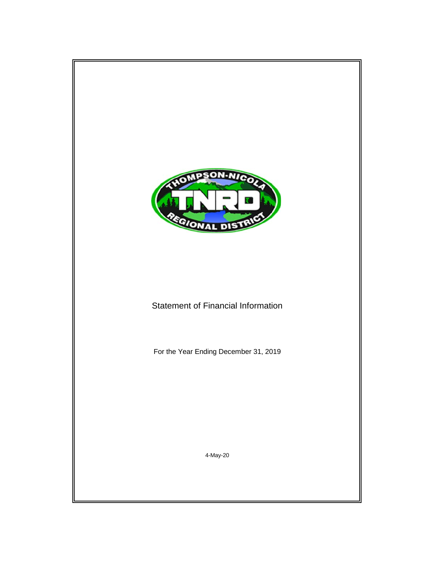

# Statement of Financial Information

For the Year Ending December 31, 2019

4-May-20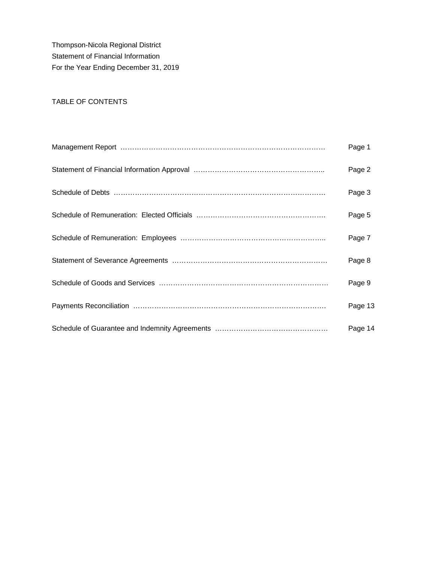Thompson-Nicola Regional District Statement of Financial Information For the Year Ending December 31, 2019

## TABLE OF CONTENTS

| Page 1  |
|---------|
| Page 2  |
| Page 3  |
| Page 5  |
| Page 7  |
| Page 8  |
| Page 9  |
| Page 13 |
| Page 14 |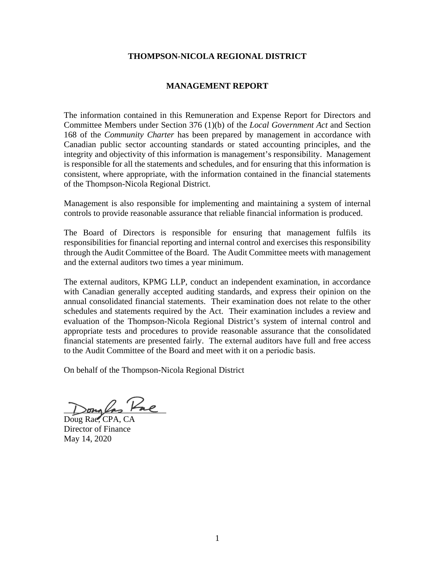### **THOMPSON-NICOLA REGIONAL DISTRICT**

#### **MANAGEMENT REPORT**

The information contained in this Remuneration and Expense Report for Directors and Committee Members under Section 376 (1)(b) of the *Local Government Act* and Section 168 of the *Community Charter* has been prepared by management in accordance with Canadian public sector accounting standards or stated accounting principles, and the integrity and objectivity of this information is management's responsibility. Management is responsible for all the statements and schedules, and for ensuring that this information is consistent, where appropriate, with the information contained in the financial statements of the Thompson-Nicola Regional District.

Management is also responsible for implementing and maintaining a system of internal controls to provide reasonable assurance that reliable financial information is produced.

The Board of Directors is responsible for ensuring that management fulfils its responsibilities for financial reporting and internal control and exercises this responsibility through the Audit Committee of the Board. The Audit Committee meets with management and the external auditors two times a year minimum.

The external auditors, KPMG LLP, conduct an independent examination, in accordance with Canadian generally accepted auditing standards, and express their opinion on the annual consolidated financial statements. Their examination does not relate to the other schedules and statements required by the Act. Their examination includes a review and evaluation of the Thompson-Nicola Regional District's system of internal control and appropriate tests and procedures to provide reasonable assurance that the consolidated financial statements are presented fairly. The external auditors have full and free access to the Audit Committee of the Board and meet with it on a periodic basis.

On behalf of the Thompson-Nicola Regional District

 $>$  $\sigma$  $\sim$ 

Doug Rae, CPA, CA Director of Finance May 14, 2020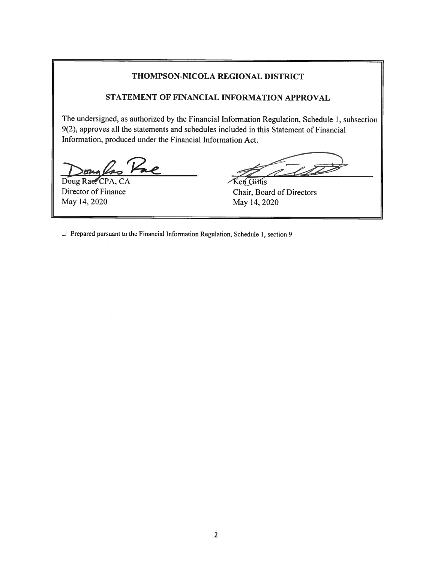#### THOMPSON-NICOLA REGIONAL DISTRICT

#### STATEMENT OF FINANCIAL INFORMATION APPROVAL

The undersigned, as authorized by the Financial Information Regulation, Schedule 1, subsection 9(2), approves all the statements and schedules included in this Statement of Financial Information, produced under the Financial Information Act.

Doug Rae, CPA, CA Director of Finance May 14, 2020

Ken Gillis Chair, Board of Directors May 14, 2020

 $\Box$  Prepared pursuant to the Financial Information Regulation, Schedule 1, section 9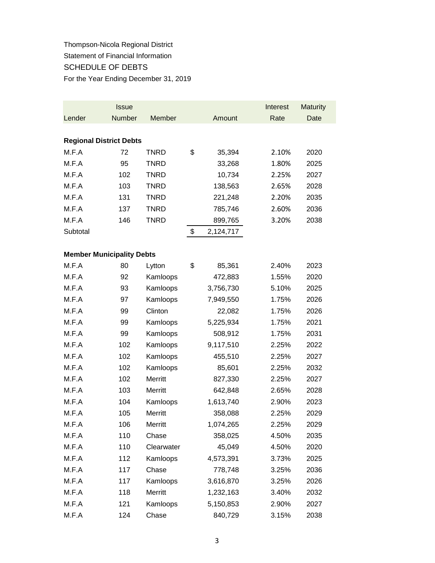# Thompson-Nicola Regional District Statement of Financial Information SCHEDULE OF DEBTS For the Year Ending December 31, 2019

|                                  | <b>Issue</b> |                |                 | Interest | <b>Maturity</b> |
|----------------------------------|--------------|----------------|-----------------|----------|-----------------|
| Lender                           | Number       | Member         | Amount          | Rate     | Date            |
|                                  |              |                |                 |          |                 |
| <b>Regional District Debts</b>   |              |                |                 |          |                 |
| M.F.A                            | 72           | <b>TNRD</b>    | \$<br>35,394    | 2.10%    | 2020            |
| M.F.A                            | 95           | <b>TNRD</b>    | 33,268          | 1.80%    | 2025            |
| M.F.A                            | 102          | <b>TNRD</b>    | 10,734          | 2.25%    | 2027            |
| M.F.A                            | 103          | <b>TNRD</b>    | 138,563         | 2.65%    | 2028            |
| M.F.A                            | 131          | <b>TNRD</b>    | 221,248         | 2.20%    | 2035            |
| M.F.A                            | 137          | <b>TNRD</b>    | 785,746         | 2.60%    | 2036            |
| M.F.A                            | 146          | <b>TNRD</b>    | 899,765         | 3.20%    | 2038            |
| Subtotal                         |              |                | \$<br>2,124,717 |          |                 |
|                                  |              |                |                 |          |                 |
| <b>Member Municipality Debts</b> |              |                |                 |          |                 |
| M.F.A                            | 80           | Lytton         | \$<br>85,361    | 2.40%    | 2023            |
| M.F.A                            | 92           | Kamloops       | 472,883         | 1.55%    | 2020            |
| M.F.A                            | 93           | Kamloops       | 3,756,730       | 5.10%    | 2025            |
| M.F.A                            | 97           | Kamloops       | 7,949,550       | 1.75%    | 2026            |
| M.F.A                            | 99           | Clinton        | 22,082          | 1.75%    | 2026            |
| M.F.A                            | 99           | Kamloops       | 5,225,934       | 1.75%    | 2021            |
| M.F.A                            | 99           | Kamloops       | 508,912         | 1.75%    | 2031            |
| M.F.A                            | 102          | Kamloops       | 9,117,510       | 2.25%    | 2022            |
| M.F.A                            | 102          | Kamloops       | 455,510         | 2.25%    | 2027            |
| M.F.A                            | 102          | Kamloops       | 85,601          | 2.25%    | 2032            |
| M.F.A                            | 102          | <b>Merritt</b> | 827,330         | 2.25%    | 2027            |
| M.F.A                            | 103          | Merritt        | 642,848         | 2.65%    | 2028            |
| M.F.A                            | 104          | Kamloops       | 1,613,740       | 2.90%    | 2023            |
| M.F.A                            | 105          | Merritt        | 358,088         | 2.25%    | 2029            |
| M.F.A                            | 106          | Merritt        | 1,074,265       | 2.25%    | 2029            |
| M.F.A                            | 110          | Chase          | 358,025         | 4.50%    | 2035            |
| M.F.A                            | 110          | Clearwater     | 45,049          | 4.50%    | 2020            |
| M.F.A                            | 112          | Kamloops       | 4,573,391       | 3.73%    | 2025            |
| M.F.A                            | 117          | Chase          | 778,748         | 3.25%    | 2036            |
| M.F.A                            | 117          | Kamloops       | 3,616,870       | 3.25%    | 2026            |
| M.F.A                            | 118          | Merritt        | 1,232,163       | 3.40%    | 2032            |
| M.F.A                            | 121          | Kamloops       | 5,150,853       | 2.90%    | 2027            |
| M.F.A                            | 124          | Chase          | 840,729         | 3.15%    | 2038            |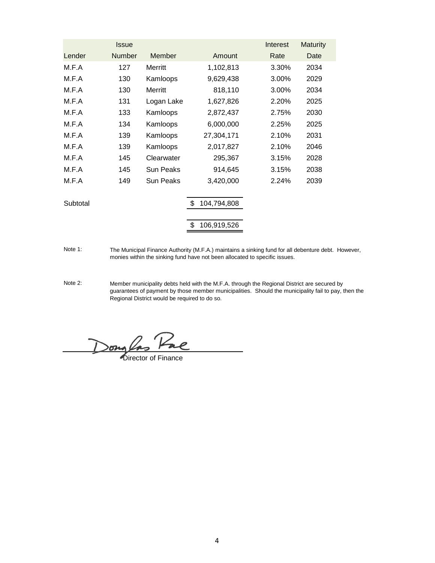|          | <b>Issue</b>  |                  |             | Interest | <b>Maturity</b> |
|----------|---------------|------------------|-------------|----------|-----------------|
| Lender   | <b>Number</b> | Member           | Amount      | Rate     | Date            |
| M.F.A    | 127           | Merritt          | 1,102,813   | 3.30%    | 2034            |
| M.F.A    | 130           | Kamloops         | 9,629,438   | 3.00%    | 2029            |
| M.F.A    | 130           | Merritt          | 818,110     | 3.00%    | 2034            |
| M.F.A    | 131           | Logan Lake       | 1,627,826   | 2.20%    | 2025            |
| M.F.A    | 133           | Kamloops         | 2,872,437   | 2.75%    | 2030            |
| M.F.A    | 134           | Kamloops         | 6,000,000   | 2.25%    | 2025            |
| M.F.A    | 139           | Kamloops         | 27,304,171  | 2.10%    | 2031            |
| M.F.A    | 139           | Kamloops         | 2,017,827   | 2.10%    | 2046            |
| M.F.A    | 145           | Clearwater       | 295,367     | 3.15%    | 2028            |
| M.F.A    | 145           | <b>Sun Peaks</b> | 914,645     | 3.15%    | 2038            |
| M.F.A    | 149           | Sun Peaks        | 3,420,000   | 2.24%    | 2039            |
|          |               |                  | \$          |          |                 |
| Subtotal |               |                  | 104,794,808 |          |                 |
|          |               |                  | 106,919,526 |          |                 |

Note 1: The Municipal Finance Authority (M.F.A.) maintains a sinking fund for all debenture debt. However, monies within the sinking fund have not been allocated to specific issues.

Note 2: Member municipality debts held with the M.F.A. through the Regional District are secured by guarantees of payment by those member municipalities. Should the municipality fail to pay, then the Regional District would be required to do so.

Dong Cas Pac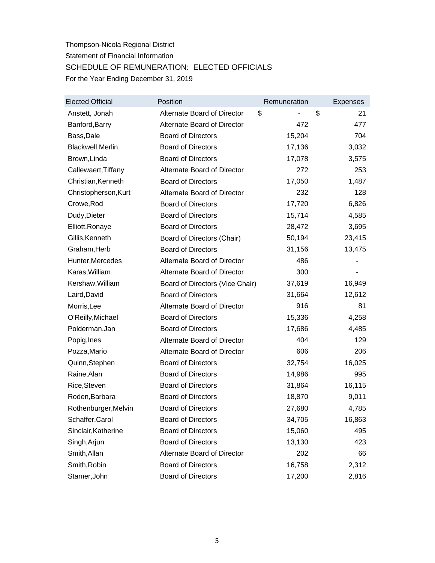# Thompson-Nicola Regional District Statement of Financial Information SCHEDULE OF REMUNERATION: ELECTED OFFICIALS For the Year Ending December 31, 2019

| <b>Elected Official</b> | Position                        | Remuneration | <b>Expenses</b> |
|-------------------------|---------------------------------|--------------|-----------------|
| Anstett, Jonah          | Alternate Board of Director     | \$           | \$<br>21        |
| Banford, Barry          | Alternate Board of Director     | 472          | 477             |
| Bass, Dale              | <b>Board of Directors</b>       | 15,204       | 704             |
| Blackwell, Merlin       | <b>Board of Directors</b>       | 17,136       | 3,032           |
| Brown, Linda            | <b>Board of Directors</b>       | 17,078       | 3,575           |
| Callewaert, Tiffany     | Alternate Board of Director     | 272          | 253             |
| Christian, Kenneth      | <b>Board of Directors</b>       | 17,050       | 1,487           |
| Christopherson, Kurt    | Alternate Board of Director     | 232          | 128             |
| Crowe, Rod              | <b>Board of Directors</b>       | 17,720       | 6,826           |
| Dudy, Dieter            | <b>Board of Directors</b>       | 15,714       | 4,585           |
| Elliott, Ronaye         | <b>Board of Directors</b>       | 28,472       | 3,695           |
| Gillis, Kenneth         | Board of Directors (Chair)      | 50,194       | 23,415          |
| Graham, Herb            | <b>Board of Directors</b>       | 31,156       | 13,475          |
| Hunter, Mercedes        | Alternate Board of Director     | 486          |                 |
| Karas, William          | Alternate Board of Director     | 300          |                 |
| Kershaw, William        | Board of Directors (Vice Chair) | 37,619       | 16,949          |
| Laird, David            | <b>Board of Directors</b>       | 31,664       | 12,612          |
| Morris, Lee             | Alternate Board of Director     | 916          | 81              |
| O'Reilly, Michael       | <b>Board of Directors</b>       | 15,336       | 4,258           |
| Polderman, Jan          | <b>Board of Directors</b>       | 17,686       | 4,485           |
| Popig, Ines             | Alternate Board of Director     | 404          | 129             |
| Pozza, Mario            | Alternate Board of Director     | 606          | 206             |
| Quinn, Stephen          | <b>Board of Directors</b>       | 32,754       | 16,025          |
| Raine, Alan             | <b>Board of Directors</b>       | 14,986       | 995             |
| Rice, Steven            | <b>Board of Directors</b>       | 31,864       | 16,115          |
| Roden, Barbara          | <b>Board of Directors</b>       | 18,870       | 9,011           |
| Rothenburger, Melvin    | <b>Board of Directors</b>       | 27,680       | 4,785           |
| Schaffer, Carol         | <b>Board of Directors</b>       | 34,705       | 16,863          |
| Sinclair, Katherine     | <b>Board of Directors</b>       | 15,060       | 495             |
| Singh, Arjun            | <b>Board of Directors</b>       | 13,130       | 423             |
| Smith, Allan            | Alternate Board of Director     | 202          | 66              |
| Smith, Robin            | <b>Board of Directors</b>       | 16,758       | 2,312           |
| Stamer, John            | <b>Board of Directors</b>       | 17,200       | 2,816           |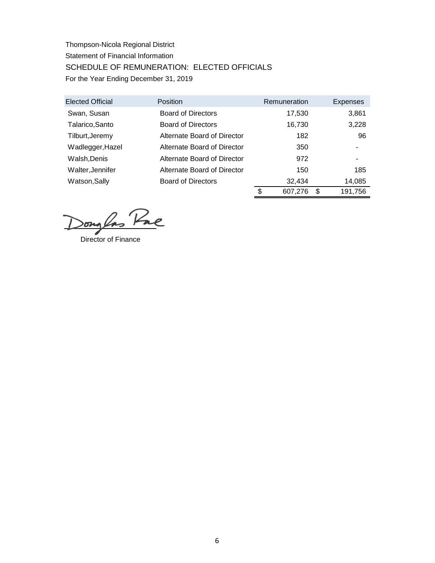Thompson-Nicola Regional District Statement of Financial Information SCHEDULE OF REMUNERATION: ELECTED OFFICIALS For the Year Ending December 31, 2019

| <b>Elected Official</b> | Position                    | Remuneration |         |        | <b>Expenses</b> |
|-------------------------|-----------------------------|--------------|---------|--------|-----------------|
| Swan, Susan             | <b>Board of Directors</b>   |              | 17,530  |        | 3,861           |
| Talarico, Santo         | <b>Board of Directors</b>   |              | 16,730  |        | 3,228           |
| Tilburt, Jeremy         | Alternate Board of Director |              | 182     |        | 96              |
| Wadlegger, Hazel        | Alternate Board of Director |              | 350     |        |                 |
| Walsh, Denis            | Alternate Board of Director |              | 972     |        | ۰               |
| Walter, Jennifer        | Alternate Board of Director |              | 150     |        | 185             |
| Watson, Sally           | <b>Board of Directors</b>   | 32.434       |         | 14,085 |                 |
|                         |                             | \$           | 607,276 | S      | 191,756         |

Douglas Pac

Director of Finance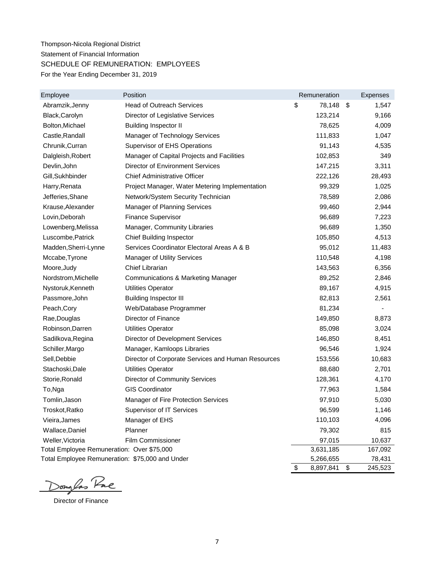## Thompson-Nicola Regional District Statement of Financial Information SCHEDULE OF REMUNERATION: EMPLOYEES For the Year Ending December 31, 2019

| Employee                                        | Position                                           | Remuneration    | <b>Expenses</b> |
|-------------------------------------------------|----------------------------------------------------|-----------------|-----------------|
| Abramzik, Jenny                                 | <b>Head of Outreach Services</b>                   | \$<br>78,148    | \$<br>1,547     |
| Black, Carolyn                                  | Director of Legislative Services                   | 123,214         | 9,166           |
| Bolton, Michael                                 | <b>Building Inspector II</b>                       | 78,625          | 4,009           |
| Castle, Randall                                 | Manager of Technology Services                     | 111,833         | 1,047           |
| Chrunik, Curran                                 | <b>Supervisor of EHS Operations</b>                | 91,143          | 4,535           |
| Dalgleish, Robert                               | Manager of Capital Projects and Facilities         | 102,853         | 349             |
| Devlin, John                                    | <b>Director of Environment Services</b>            | 147,215         | 3,311           |
| Gill, Sukhbinder                                | <b>Chief Administrative Officer</b>                | 222,126         | 28,493          |
| Harry, Renata                                   | Project Manager, Water Metering Implementation     | 99,329          | 1,025           |
| Jefferies, Shane                                | Network/System Security Technician                 | 78,589          | 2,086           |
| Krause, Alexander                               | <b>Manager of Planning Services</b>                | 99,460          | 2,944           |
| Lovin, Deborah                                  | <b>Finance Supervisor</b>                          | 96,689          | 7,223           |
| Lowenberg, Melissa                              | Manager, Community Libraries                       | 96,689          | 1,350           |
| Luscombe, Patrick                               | <b>Chief Building Inspector</b>                    | 105,850         | 4,513           |
| Madden, Sherri-Lynne                            | Services Coordinator Electoral Areas A & B         | 95,012          | 11,483          |
| Mccabe, Tyrone                                  | <b>Manager of Utility Services</b>                 | 110,548         | 4,198           |
| Moore, Judy                                     | Chief Librarian                                    | 143,563         | 6,356           |
| Nordstrom, Michelle                             | <b>Communications &amp; Marketing Manager</b>      | 89,252          | 2,846           |
| Nystoruk, Kenneth                               | <b>Utilities Operator</b>                          | 89,167          | 4,915           |
| Passmore, John                                  | <b>Building Inspector III</b>                      | 82,813          | 2,561           |
| Peach, Cory                                     | Web/Database Programmer                            | 81,234          |                 |
| Rae, Douglas                                    | Director of Finance                                | 149,850         | 8,873           |
| Robinson, Darren                                | <b>Utilities Operator</b>                          | 85,098          | 3,024           |
| Sadilkova, Regina                               | Director of Development Services                   | 146,850         | 8,451           |
| Schiller, Margo                                 | Manager, Kamloops Libraries                        | 96,546          | 1,924           |
| Sell, Debbie                                    | Director of Corporate Services and Human Resources | 153,556         | 10,683          |
| Stachoski, Dale                                 | <b>Utilities Operator</b>                          | 88,680          | 2,701           |
| Storie, Ronald                                  | <b>Director of Community Services</b>              | 128,361         | 4,170           |
| To,Nga                                          | <b>GIS Coordinator</b>                             | 77,963          | 1,584           |
| Tomlin, Jason                                   | Manager of Fire Protection Services                | 97,910          | 5,030           |
| Troskot, Ratko                                  | Supervisor of IT Services                          | 96,599          | 1,146           |
| Vieira, James                                   | Manager of EHS                                     | 110,103         | 4,096           |
| Wallace, Daniel                                 | Planner                                            | 79,302          | 815             |
| Weller, Victoria                                | Film Commissioner                                  | 97,015          | 10,637          |
| Total Employee Remuneration: Over \$75,000      |                                                    | 3,631,185       | 167,092         |
| Total Employee Remuneration: \$75,000 and Under |                                                    | 5,266,655       | 78,431          |
|                                                 |                                                    | \$<br>8,897,841 | 245,523<br>\$   |

Douglas Pac

Director of Finance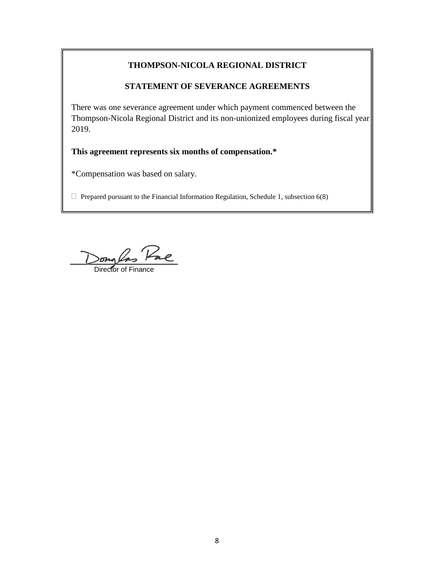### **THOMPSON-NICOLA REGIONAL DISTRICT**

### **STATEMENT OF SEVERANCE AGREEMENTS**

There was one severance agreement under which payment commenced between the Thompson-Nicola Regional District and its non-unionized employees during fiscal year 2019.

### **This agreement represents six months of compensation.\***

\*Compensation was based on salary.

 $\Box$  Prepared pursuant to the Financial Information Regulation, Schedule 1, subsection 6(8)

songlas Pae

Director of Finance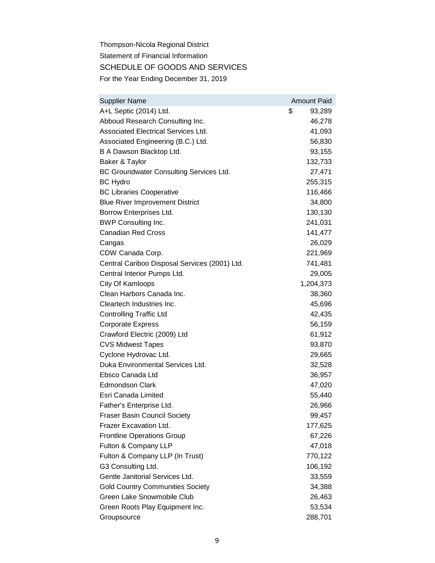Thompson-Nicola Regional District Statement of Financial Information SCHEDULE OF GOODS AND SERVICES For the Year Ending December 31, 2019

| <b>Supplier Name</b>                          | <b>Amount Paid</b> |
|-----------------------------------------------|--------------------|
| A+L Septic (2014) Ltd.                        | \$<br>93,289       |
| Abboud Research Consulting Inc.               | 46,278             |
| Associated Electrical Services Ltd.           | 41,093             |
| Associated Engineering (B.C.) Ltd.            | 56,830             |
| B A Dawson Blacktop Ltd.                      | 93,155             |
| Baker & Taylor                                | 132,733            |
| BC Groundwater Consulting Services Ltd.       | 27,471             |
| <b>BC Hydro</b>                               | 255,315            |
| <b>BC Libraries Cooperative</b>               | 116,466            |
| <b>Blue River Improvement District</b>        | 34,800             |
| Borrow Enterprises Ltd.                       | 130,130            |
| <b>BWP Consulting Inc.</b>                    | 241,031            |
| <b>Canadian Red Cross</b>                     | 141,477            |
| Cangas                                        | 26,029             |
| CDW Canada Corp.                              | 221,969            |
| Central Cariboo Disposal Services (2001) Ltd. | 741,481            |
| Central Interior Pumps Ltd.                   | 29,005             |
| City Of Kamloops                              | 1,204,373          |
| Clean Harbors Canada Inc.                     | 38,360             |
| Cleartech Industries Inc.                     | 45,696             |
| <b>Controlling Traffic Ltd</b>                | 42,435             |
| <b>Corporate Express</b>                      | 56,159             |
| Crawford Electric (2009) Ltd                  | 61,912             |
| <b>CVS Midwest Tapes</b>                      | 93,870             |
| Cyclone Hydrovac Ltd.                         | 29,665             |
| Duka Environmental Services Ltd.              | 32,528             |
| Ebsco Canada Ltd                              | 36,957             |
| <b>Edmondson Clark</b>                        | 47,020             |
| Esri Canada Limited                           | 55,440             |
| Father's Enterprise Ltd.                      | 26,966             |
| <b>Fraser Basin Council Society</b>           | 99,457             |
| Frazer Excavation Ltd.                        | 177,625            |
| <b>Frontline Operations Group</b>             | 67,226             |
| Fulton & Company LLP                          | 47,018             |
| Fulton & Company LLP (In Trust)               | 770,122            |
| G3 Consulting Ltd.                            | 106,192            |
| Gentle Janitorial Services Ltd.               | 33,559             |
| <b>Gold Country Communities Society</b>       | 34,388             |
| Green Lake Snowmobile Club                    | 26,463             |
| Green Roots Play Equipment Inc.               | 53,534             |
| Groupsource                                   | 288,701            |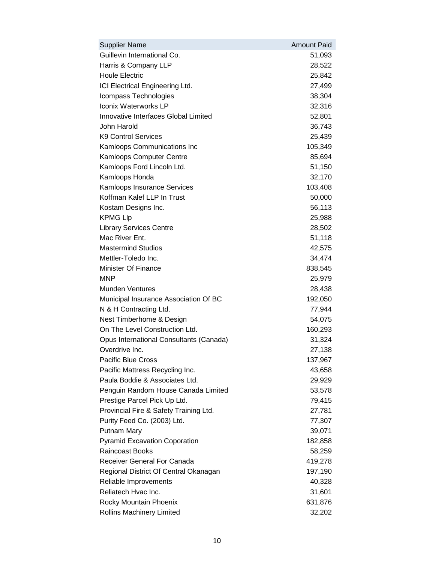| <b>Supplier Name</b>                    | <b>Amount Paid</b> |
|-----------------------------------------|--------------------|
| Guillevin International Co.             | 51,093             |
| Harris & Company LLP                    | 28,522             |
| <b>Houle Electric</b>                   | 25,842             |
| ICI Electrical Engineering Ltd.         | 27,499             |
| Icompass Technologies                   | 38,304             |
| Iconix Waterworks LP                    | 32,316             |
| Innovative Interfaces Global Limited    | 52,801             |
| John Harold                             | 36,743             |
| <b>K9 Control Services</b>              | 25,439             |
| Kamloops Communications Inc             | 105,349            |
| Kamloops Computer Centre                | 85,694             |
| Kamloops Ford Lincoln Ltd.              | 51,150             |
| Kamloops Honda                          | 32,170             |
| <b>Kamloops Insurance Services</b>      | 103,408            |
| Koffman Kalef LLP In Trust              | 50,000             |
| Kostam Designs Inc.                     | 56,113             |
| <b>KPMG LIp</b>                         | 25,988             |
| <b>Library Services Centre</b>          | 28,502             |
| Mac River Ent.                          | 51,118             |
| <b>Mastermind Studios</b>               | 42,575             |
| Mettler-Toledo Inc.                     | 34,474             |
| Minister Of Finance                     | 838,545            |
| <b>MNP</b>                              | 25,979             |
| <b>Munden Ventures</b>                  | 28,438             |
| Municipal Insurance Association Of BC   | 192,050            |
| N & H Contracting Ltd.                  | 77,944             |
| Nest Timberhome & Design                | 54,075             |
| On The Level Construction Ltd.          | 160,293            |
| Opus International Consultants (Canada) | 31,324             |
| Overdrive Inc.                          | 27,138             |
| Pacific Blue Cross                      | 137,967            |
| Pacific Mattress Recycling Inc.         | 43,658             |
| Paula Boddie & Associates Ltd.          | 29,929             |
| Penguin Random House Canada Limited     | 53,578             |
| Prestige Parcel Pick Up Ltd.            | 79,415             |
| Provincial Fire & Safety Training Ltd.  | 27,781             |
| Purity Feed Co. (2003) Ltd.             | 77,307             |
| Putnam Mary                             | 39,071             |
| <b>Pyramid Excavation Coporation</b>    | 182,858            |
| <b>Raincoast Books</b>                  | 58,259             |
| Receiver General For Canada             | 419,278            |
| Regional District Of Central Okanagan   | 197,190            |
| Reliable Improvements                   | 40,328             |
| Reliatech Hvac Inc.                     | 31,601             |
| Rocky Mountain Phoenix                  | 631,876            |
| Rollins Machinery Limited               | 32,202             |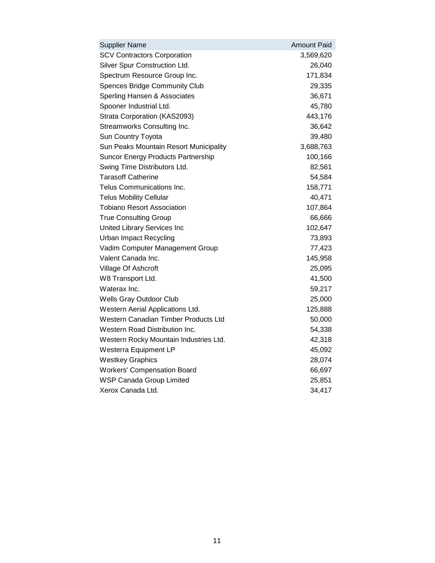| <b>Supplier Name</b>                      | <b>Amount Paid</b> |
|-------------------------------------------|--------------------|
| <b>SCV Contractors Corporation</b>        | 3,569,620          |
| Silver Spur Construction Ltd.             | 26,040             |
| Spectrum Resource Group Inc.              | 171,834            |
| <b>Spences Bridge Community Club</b>      | 29,335             |
| Sperling Hansen & Associates              | 36,671             |
| Spooner Industrial Ltd.                   | 45,780             |
| Strata Corporation (KAS2093)              | 443,176            |
| Streamworks Consulting Inc.               | 36,642             |
| Sun Country Toyota                        | 39,480             |
| Sun Peaks Mountain Resort Municipality    | 3,688,763          |
| <b>Suncor Energy Products Partnership</b> | 100,166            |
| Swing Time Distributors Ltd.              | 82,561             |
| <b>Tarasoff Catherine</b>                 | 54,584             |
| Telus Communications Inc.                 | 158,771            |
| <b>Telus Mobility Cellular</b>            | 40,471             |
| <b>Tobiano Resort Association</b>         | 107,864            |
| <b>True Consulting Group</b>              | 66,666             |
| United Library Services Inc               | 102,647            |
| <b>Urban Impact Recycling</b>             | 73,893             |
| Vadim Computer Management Group           | 77,423             |
| Valent Canada Inc.                        | 145,958            |
| Village Of Ashcroft                       | 25,095             |
| W8 Transport Ltd.                         | 41,500             |
| Waterax Inc.                              | 59,217             |
| Wells Gray Outdoor Club                   | 25,000             |
| Western Aerial Applications Ltd.          | 125,888            |
| Western Canadian Timber Products Ltd      | 50,000             |
| Western Road Distribution Inc.            | 54,338             |
| Western Rocky Mountain Industries Ltd.    | 42,318             |
| Westerra Equipment LP                     | 45,092             |
| <b>Westkey Graphics</b>                   | 28,074             |
| <b>Workers' Compensation Board</b>        | 66,697             |
| <b>WSP Canada Group Limited</b>           | 25,851             |
| Xerox Canada Ltd.                         | 34,417             |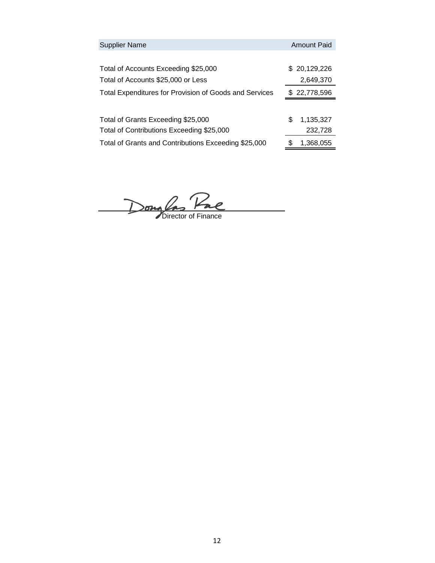| <b>Supplier Name</b>                                   |   | <b>Amount Paid</b> |
|--------------------------------------------------------|---|--------------------|
|                                                        |   |                    |
| Total of Accounts Exceeding \$25,000                   |   | \$20,129,226       |
| Total of Accounts \$25,000 or Less                     |   | 2,649,370          |
| Total Expenditures for Provision of Goods and Services |   | \$22,778,596       |
|                                                        |   |                    |
| Total of Grants Exceeding \$25,000                     | S | 1,135,327          |
| Total of Contributions Exceeding \$25,000              |   | 232,728            |
| Total of Grants and Contributions Exceeding \$25,000   | S | 1,368,055          |

Dong Pac<br>Director of Finance

12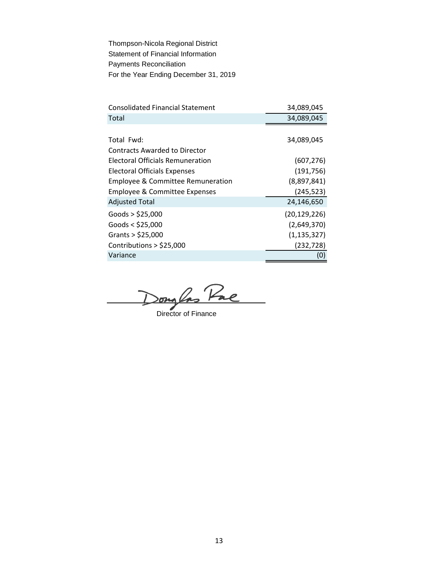Thompson-Nicola Regional District Statement of Financial Information Payments Reconciliation For the Year Ending December 31, 2019

| <b>Consolidated Financial Statement</b>      | 34,089,045     |
|----------------------------------------------|----------------|
| Total                                        | 34,089,045     |
|                                              |                |
| Total Fwd:                                   | 34,089,045     |
| <b>Contracts Awarded to Director</b>         |                |
| Electoral Officials Remuneration             | (607, 276)     |
| <b>Electoral Officials Expenses</b>          | (191, 756)     |
| <b>Employee &amp; Committee Remuneration</b> | (8,897,841)    |
| Employee & Committee Expenses                | (245, 523)     |
| <b>Adjusted Total</b>                        | 24,146,650     |
| Goods $>$ \$25,000                           | (20, 129, 226) |
| Goods $<$ \$25,000                           | (2,649,370)    |
| Grants $>$ \$25,000                          | (1, 135, 327)  |
| Contributions $>$ \$25,000                   | (232, 728)     |
| Variance                                     | (0)            |

Douglas Pac

Director of Finance